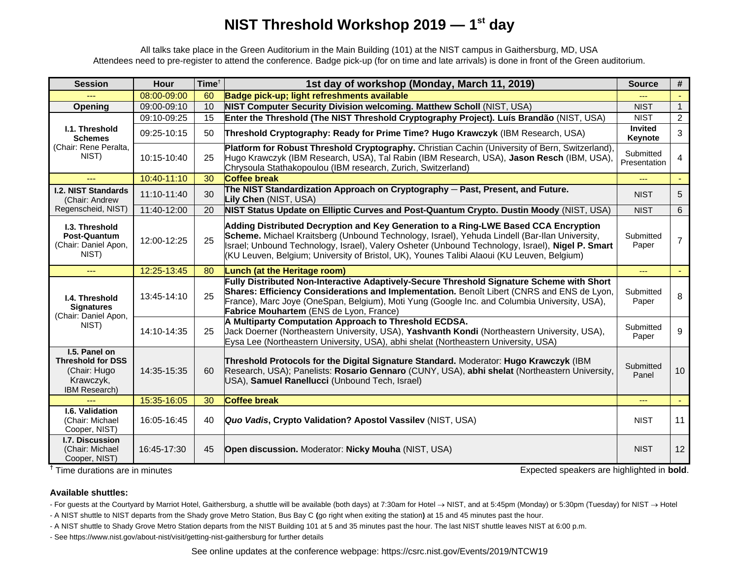# **NIST Threshold Workshop 2019 — 1st day**

All talks take place in the Green Auditorium in the Main Building (101) at the NIST campus in Gaithersburg, MD, USA Attendees need to pre-register to attend the conference. Badge pick-up (for on time and late arrivals) is done in front of the Green auditorium.

| <b>Session</b>                                                                          | <b>Hour</b> | Time <sup>†</sup> | 1st day of workshop (Monday, March 11, 2019)                                                                                                                                                                                                                                                                                                                                           | <b>Source</b>                      | #                |
|-----------------------------------------------------------------------------------------|-------------|-------------------|----------------------------------------------------------------------------------------------------------------------------------------------------------------------------------------------------------------------------------------------------------------------------------------------------------------------------------------------------------------------------------------|------------------------------------|------------------|
|                                                                                         | 08:00-09:00 | 60                | Badge pick-up; light refreshments available                                                                                                                                                                                                                                                                                                                                            |                                    |                  |
| Opening                                                                                 | 09:00-09:10 | 10                | NIST Computer Security Division welcoming. Matthew Scholl (NIST, USA)                                                                                                                                                                                                                                                                                                                  | <b>NIST</b>                        | $\mathbf{1}$     |
| I.1. Threshold<br><b>Schemes</b><br>(Chair: Rene Peralta,<br>NIST)                      | 09:10-09:25 | 15                | Enter the Threshold (The NIST Threshold Cryptography Project). Luís Brandão (NIST, USA)                                                                                                                                                                                                                                                                                                | <b>NIST</b>                        | $\overline{2}$   |
|                                                                                         | 09:25-10:15 | 50                | Threshold Cryptography: Ready for Prime Time? Hugo Krawczyk (IBM Research, USA)                                                                                                                                                                                                                                                                                                        | <b>Invited</b><br>Keynote          | 3                |
|                                                                                         | 10:15-10:40 | 25                | Platform for Robust Threshold Cryptography. Christian Cachin (University of Bern, Switzerland)<br>Hugo Krawczyk (IBM Research, USA), Tal Rabin (IBM Research, USA), Jason Resch (IBM, USA),<br>Chrysoula Stathakopoulou (IBM research, Zurich, Switzerland)                                                                                                                            | Submitted<br>Presentation          | 4                |
|                                                                                         | 10:40-11:10 | 30                | <b>Coffee break</b>                                                                                                                                                                                                                                                                                                                                                                    | $\overline{a}$                     |                  |
| <b>I.2. NIST Standards</b><br>(Chair: Andrew                                            | 11:10-11:40 | 30                | The NIST Standardization Approach on Cryptography - Past, Present, and Future.<br>Lily Chen (NIST, USA)                                                                                                                                                                                                                                                                                | <b>NIST</b>                        | 5                |
| Regenscheid, NIST)                                                                      | 11:40-12:00 | 20                | NIST Status Update on Elliptic Curves and Post-Quantum Crypto. Dustin Moody (NIST, USA)                                                                                                                                                                                                                                                                                                | <b>NIST</b>                        | 6                |
| <b>I.3. Threshold</b><br>Post-Quantum<br>(Chair: Daniel Apon,<br>NIST)                  | 12:00-12:25 | 25                | Adding Distributed Decryption and Key Generation to a Ring-LWE Based CCA Encryption<br>Scheme. Michael Kraitsberg (Unbound Technology, Israel), Yehuda Lindell (Bar-llan University,<br>Israel; Unbound Technology, Israel), Valery Osheter (Unbound Technology, Israel), Nigel P. Smart<br>(KU Leuven, Belgium; University of Bristol, UK), Younes Talibi Alaoui (KU Leuven, Belgium) | Submitted<br>Paper                 | $\overline{7}$   |
| $---$                                                                                   | 12:25-13:45 | 80                | Lunch (at the Heritage room)                                                                                                                                                                                                                                                                                                                                                           | $\mathbb{L} \mathbb{L} \mathbb{L}$ | $\Delta \sim 10$ |
| I.4. Threshold<br><b>Signatures</b><br>(Chair: Daniel Apon,<br>NIST)                    | 13:45-14:10 | 25                | Fully Distributed Non-Interactive Adaptively-Secure Threshold Signature Scheme with Short<br>Shares: Efficiency Considerations and Implementation. Benoît Libert (CNRS and ENS de Lyon,<br>France), Marc Joye (OneSpan, Belgium), Moti Yung (Google Inc. and Columbia University, USA),<br>Fabrice Mouhartem (ENS de Lyon, France)                                                     | Submitted<br>Paper                 | 8                |
|                                                                                         | 14:10-14:35 | 25                | A Multiparty Computation Approach to Threshold ECDSA.<br>Jack Doerner (Northeastern University, USA), Yashvanth Kondi (Northeastern University, USA),<br>Eysa Lee (Northeastern University, USA), abhi shelat (Northeastern University, USA)                                                                                                                                           | Submitted<br>Paper                 | 9                |
| I.5. Panel on<br><b>Threshold for DSS</b><br>(Chair: Hugo<br>Krawczyk,<br>IBM Research) | 14:35-15:35 | 60                | Threshold Protocols for the Digital Signature Standard. Moderator: Hugo Krawczyk (IBM<br>Research, USA); Panelists: Rosario Gennaro (CUNY, USA), abhi shelat (Northeastern University,<br>USA), Samuel Ranellucci (Unbound Tech, Israel)                                                                                                                                               | Submitted<br>Panel                 | 10               |
|                                                                                         | 15:35-16:05 | 30                | <b>Coffee break</b>                                                                                                                                                                                                                                                                                                                                                                    | $\frac{1}{2}$                      | $\equiv$ $\sim$  |
| I.6. Validation<br>(Chair: Michael<br>Cooper, NIST)                                     | 16:05-16:45 | 40                | Quo Vadis, Crypto Validation? Apostol Vassilev (NIST, USA)                                                                                                                                                                                                                                                                                                                             | <b>NIST</b>                        | 11               |
| <b>I.7. Discussion</b><br>(Chair: Michael<br>Cooper, NIST)                              | 16:45-17:30 | 45                | <b>Open discussion.</b> Moderator: <b>Nicky Mouha</b> (NIST, USA)                                                                                                                                                                                                                                                                                                                      | <b>NIST</b>                        | 12               |

<sup>†</sup> Time durations are in minutes

Expected speakers are highlighted in **bold**.

#### **Available shuttles:**

- For guests at the Courtyard by Marriot Hotel, Gaithersburg, a shuttle will be available (both days) at 7:30am for Hotel  $\rightarrow$  NIST, and at 5:45pm (Monday) or 5:30pm (Tuesday) for NIST  $\rightarrow$  Hotel

- A NIST shuttle to NIST departs from the Shady grove Metro Station, Bus Bay C **(**go right when exiting the station**)** at 15 and 45 minutes past the hour.

- A NIST shuttle to Shady Grove Metro Station departs from the NIST Building 101 at 5 and 35 minutes past the hour. The last NIST shuttle leaves NIST at 6:00 p.m.

- See https://www.nist.gov/about-nist/visit/getting-nist-gaithersburg for further details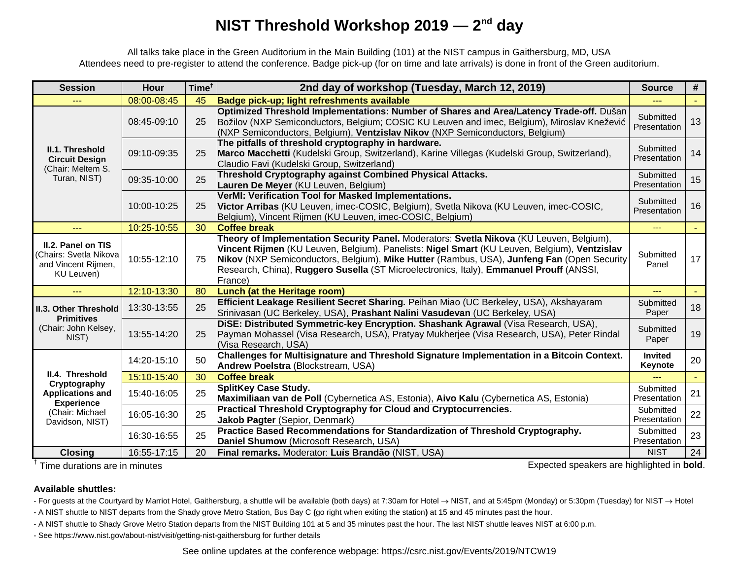# **NIST Threshold Workshop 2019 — 2nd day**

All talks take place in the Green Auditorium in the Main Building (101) at the NIST campus in Gaithersburg, MD, USA Attendees need to pre-register to attend the conference. Badge pick-up (for on time and late arrivals) is done in front of the Green auditorium.

| <b>Session</b>                                                                                                        | <b>Hour</b> | Time <sup>†</sup> | 2nd day of workshop (Tuesday, March 12, 2019)                                                                                                                                                                                                                                                                                                                                                | <b>Source</b>             | #         |
|-----------------------------------------------------------------------------------------------------------------------|-------------|-------------------|----------------------------------------------------------------------------------------------------------------------------------------------------------------------------------------------------------------------------------------------------------------------------------------------------------------------------------------------------------------------------------------------|---------------------------|-----------|
|                                                                                                                       | 08:00-08:45 | 45                | Badge pick-up; light refreshments available                                                                                                                                                                                                                                                                                                                                                  |                           |           |
| II.1. Threshold<br><b>Circuit Design</b><br>(Chair: Meltem S.<br>Turan, NIST)                                         | 08:45-09:10 | 25                | Optimized Threshold Implementations: Number of Shares and Area/Latency Trade-off. Dušan<br>Božilov (NXP Semiconductors, Belgium; COSIC KU Leuven and imec, Belgium), Miroslav Knežević<br>(NXP Semiconductors, Belgium), Ventzislav Nikov (NXP Semiconductors, Belgium)                                                                                                                      | Submitted<br>Presentation | 13        |
|                                                                                                                       | 09:10-09:35 | 25                | The pitfalls of threshold cryptography in hardware.<br>Marco Macchetti (Kudelski Group, Switzerland), Karine Villegas (Kudelski Group, Switzerland),<br>Claudio Favi (Kudelski Group, Switzerland)                                                                                                                                                                                           | Submitted<br>Presentation | 14        |
|                                                                                                                       | 09:35-10:00 | 25                | Threshold Cryptography against Combined Physical Attacks.<br>Lauren De Meyer (KU Leuven, Belgium)                                                                                                                                                                                                                                                                                            | Submitted<br>Presentation | 15        |
|                                                                                                                       | 10:00-10:25 | 25                | VerMI: Verification Tool for Masked Implementations.<br>Victor Arribas (KU Leuven, imec-COSIC, Belgium), Svetla Nikova (KU Leuven, imec-COSIC,<br>Belgium), Vincent Rijmen (KU Leuven, imec-COSIC, Belgium)                                                                                                                                                                                  | Submitted<br>Presentation | 16        |
|                                                                                                                       | 10:25-10:55 | 30                | <b>Coffee break</b>                                                                                                                                                                                                                                                                                                                                                                          | $---$                     | $\sim 10$ |
| II.2. Panel on TIS<br>(Chairs: Svetla Nikova<br>and Vincent Rijmen,<br>KU Leuven)                                     | 10:55-12:10 | 75                | Theory of Implementation Security Panel. Moderators: Svetla Nikova (KU Leuven, Belgium),<br>Vincent Rijmen (KU Leuven, Belgium). Panelists: Nigel Smart (KU Leuven, Belgium), Ventzislav<br>Nikov (NXP Semiconductors, Belgium), Mike Hutter (Rambus, USA), Junfeng Fan (Open Security<br>Research, China), Ruggero Susella (ST Microelectronics, Italy), Emmanuel Prouff (ANSSI,<br>France) | Submitted<br>Panel        | 17        |
|                                                                                                                       | 12:10-13:30 | 80                | <b>Lunch (at the Heritage room)</b>                                                                                                                                                                                                                                                                                                                                                          | ---                       | $\sim$    |
| <b>II.3. Other Threshold</b><br><b>Primitives</b><br>(Chair: John Kelsey,<br>NIST)                                    | 13:30-13:55 | 25                | Efficient Leakage Resilient Secret Sharing. Peihan Miao (UC Berkeley, USA), Akshayaram<br>Srinivasan (UC Berkeley, USA), Prashant Nalini Vasudevan (UC Berkeley, USA)                                                                                                                                                                                                                        | Submitted<br>Paper        | 18        |
|                                                                                                                       | 13:55-14:20 | 25                | DISE: Distributed Symmetric-key Encryption. Shashank Agrawal (Visa Research, USA),<br>Payman Mohassel (Visa Research, USA), Pratyay Mukherjee (Visa Research, USA), Peter Rindal<br>(Visa Research, USA)                                                                                                                                                                                     | Submitted<br>Paper        | 19        |
| II.4. Threshold<br>Cryptography<br><b>Applications and</b><br><b>Experience</b><br>(Chair: Michael<br>Davidson, NIST) | 14:20-15:10 | 50                | Challenges for Multisignature and Threshold Signature Implementation in a Bitcoin Context.<br>Andrew Poelstra (Blockstream, USA)                                                                                                                                                                                                                                                             | <b>Invited</b><br>Keynote | 20        |
|                                                                                                                       | 15:10-15:40 | 30                | <b>Coffee break</b>                                                                                                                                                                                                                                                                                                                                                                          |                           |           |
|                                                                                                                       | 15:40-16:05 | 25                | SplitKey Case Study.<br>Maximiliaan van de Poll (Cybernetica AS, Estonia), Aivo Kalu (Cybernetica AS, Estonia)                                                                                                                                                                                                                                                                               | Submitted<br>Presentation | 21        |
|                                                                                                                       | 16:05-16:30 | 25                | Practical Threshold Cryptography for Cloud and Cryptocurrencies.<br>Jakob Pagter (Sepior, Denmark)                                                                                                                                                                                                                                                                                           | Submitted<br>Presentation | 22        |
|                                                                                                                       | 16:30-16:55 | 25                | Practice Based Recommendations for Standardization of Threshold Cryptography.<br>Daniel Shumow (Microsoft Research, USA)                                                                                                                                                                                                                                                                     | Submitted<br>Presentation | 23        |
| <b>Closing</b>                                                                                                        | 16:55-17:15 | 20                | Final remarks. Moderator: Luís Brandão (NIST, USA)                                                                                                                                                                                                                                                                                                                                           | <b>NIST</b>               | 24        |

<sup>†</sup>Time durations are in minutes

Expected speakers are highlighted in **bold**.

#### **Available shuttles:**

- For guests at the Courtyard by Marriot Hotel, Gaithersburg, a shuttle will be available (both days) at 7:30am for Hotel  $\rightarrow$  NIST, and at 5:45pm (Monday) or 5:30pm (Tuesday) for NIST  $\rightarrow$  Hotel

- A NIST shuttle to NIST departs from the Shady grove Metro Station, Bus Bay C **(**go right when exiting the station**)** at 15 and 45 minutes past the hour.

- A NIST shuttle to Shady Grove Metro Station departs from the NIST Building 101 at 5 and 35 minutes past the hour. The last NIST shuttle leaves NIST at 6:00 p.m.

- See https://www.nist.gov/about-nist/visit/getting-nist-gaithersburg for further details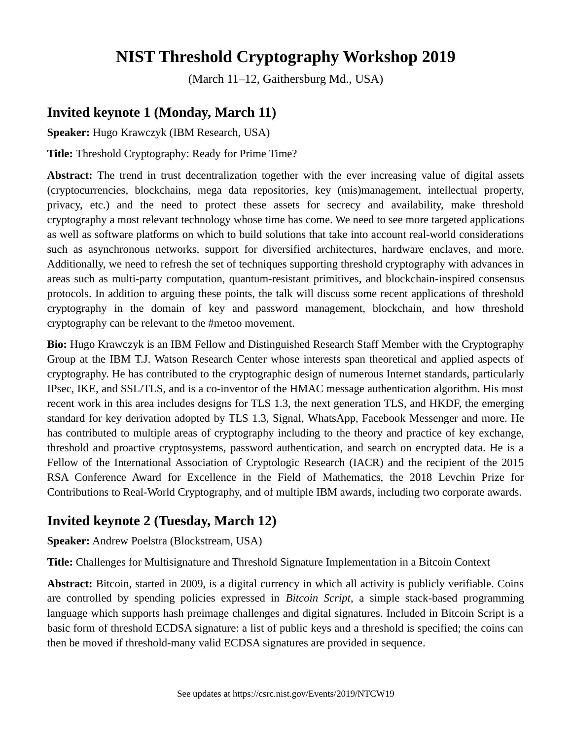# **NIST Threshold Cryptography Workshop 2019**

(March 11–12, Gaithersburg Md., USA)

## **Invited keynote 1 (Monday, March 11)**

**Speaker:** Hugo Krawczyk (IBM Research, USA)

**Title:** Threshold Cryptography: Ready for Prime Time?

**Abstract:** The trend in trust decentralization together with the ever increasing value of digital assets (cryptocurrencies, blockchains, mega data repositories, key (mis)management, intellectual property, privacy, etc.) and the need to protect these assets for secrecy and availability, make threshold cryptography a most relevant technology whose time has come. We need to see more targeted applications as well as software platforms on which to build solutions that take into account real-world considerations such as asynchronous networks, support for diversified architectures, hardware enclaves, and more. Additionally, we need to refresh the set of techniques supporting threshold cryptography with advances in areas such as multi-party computation, quantum-resistant primitives, and blockchain-inspired consensus protocols. In addition to arguing these points, the talk will discuss some recent applications of threshold cryptography in the domain of key and password management, blockchain, and how threshold cryptography can be relevant to the #metoo movement.

**Bio:** Hugo Krawczyk is an IBM Fellow and Distinguished Research Staff Member with the Cryptography Group at the IBM T.J. Watson Research Center whose interests span theoretical and applied aspects of cryptography. He has contributed to the cryptographic design of numerous Internet standards, particularly IPsec, IKE, and SSL/TLS, and is a co-inventor of the HMAC message authentication algorithm. His most recent work in this area includes designs for TLS 1.3, the next generation TLS, and HKDF, the emerging standard for key derivation adopted by TLS 1.3, Signal, WhatsApp, Facebook Messenger and more. He has contributed to multiple areas of cryptography including to the theory and practice of key exchange, threshold and proactive cryptosystems, password authentication, and search on encrypted data. He is a Fellow of the International Association of Cryptologic Research (IACR) and the recipient of the 2015 RSA Conference Award for Excellence in the Field of Mathematics, the 2018 Levchin Prize for Contributions to Real-World Cryptography, and of multiple IBM awards, including two corporate awards.

#### **Invited keynote 2 (Tuesday, March 12)**

**Speaker:** Andrew Poelstra (Blockstream, USA)

**Title:** Challenges for Multisignature and Threshold Signature Implementation in a Bitcoin Context

**Abstract:** Bitcoin, started in 2009, is a digital currency in which all activity is publicly verifiable. Coins are controlled by spending policies expressed in *Bitcoin Script*, a simple stack-based programming language which supports hash preimage challenges and digital signatures. Included in Bitcoin Script is a basic form of threshold ECDSA signature: a list of public keys and a threshold is specified; the coins can then be moved if threshold-many valid ECDSA signatures are provided in sequence.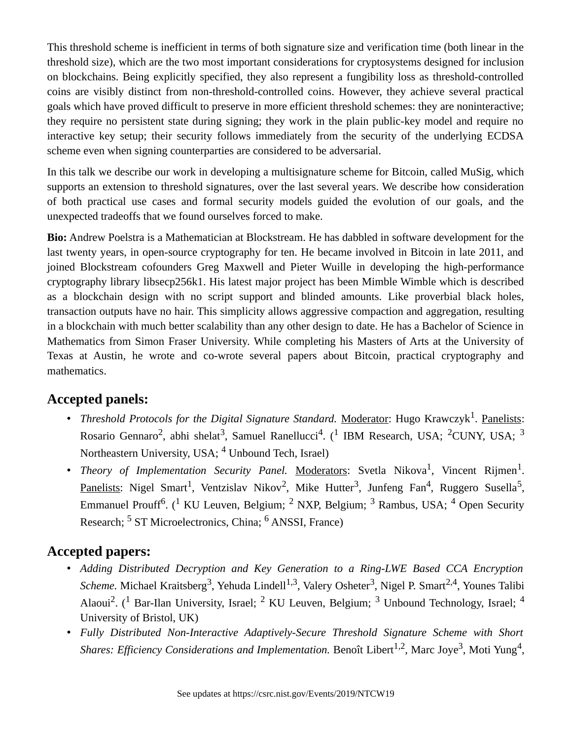This threshold scheme is inefficient in terms of both signature size and verification time (both linear in the threshold size), which are the two most important considerations for cryptosystems designed for inclusion on blockchains. Being explicitly specified, they also represent a fungibility loss as threshold-controlled coins are visibly distinct from non-threshold-controlled coins. However, they achieve several practical goals which have proved difficult to preserve in more efficient threshold schemes: they are noninteractive; they require no persistent state during signing; they work in the plain public-key model and require no interactive key setup; their security follows immediately from the security of the underlying ECDSA scheme even when signing counterparties are considered to be adversarial.

In this talk we describe our work in developing a multisignature scheme for Bitcoin, called MuSig, which supports an extension to threshold signatures, over the last several years. We describe how consideration of both practical use cases and formal security models guided the evolution of our goals, and the unexpected tradeoffs that we found ourselves forced to make.

**Bio:** Andrew Poelstra is a Mathematician at Blockstream. He has dabbled in software development for the last twenty years, in open-source cryptography for ten. He became involved in Bitcoin in late 2011, and joined Blockstream cofounders Greg Maxwell and Pieter Wuille in developing the high-performance cryptography library libsecp256k1. His latest major project has been Mimble Wimble which is described as a blockchain design with no script support and blinded amounts. Like proverbial black holes, transaction outputs have no hair. This simplicity allows aggressive compaction and aggregation, resulting in a blockchain with much better scalability than any other design to date. He has a Bachelor of Science in Mathematics from Simon Fraser University. While completing his Masters of Arts at the University of Texas at Austin, he wrote and co-wrote several papers about Bitcoin, practical cryptography and mathematics.

#### **Accepted panels:**

- Threshold Protocols for the Digital Signature Standard. Moderator: Hugo Krawczyk<sup>1</sup>. Panelists: Rosario Gennaro<sup>2</sup>, abhi shelat<sup>3</sup>, Samuel Ranellucci<sup>4</sup>. (<sup>1</sup> IBM Research, USA; <sup>2</sup>CUNY, USA; <sup>3</sup> Northeastern University, USA; <sup>4</sup> Unbound Tech, Israel)
- *Theory of Implementation Security Panel*. <u>Moderators</u>: Svetla Nikova<sup>1</sup>, Vincent Rijmen<sup>1</sup>.  $\rm {Panelists:~Nigel~Smart}^1,~Ventzislav~Nikov^2,~Mike~Hutter^3,~Junfeng~Fan^4,~Ruggero~ Susella^5,$ Emmanuel Prouff<sup>6</sup>. (<sup>1</sup> KU Leuven, Belgium; <sup>2</sup> NXP, Belgium; <sup>3</sup> Rambus, USA; <sup>4</sup> Open Security Research; <sup>5</sup> ST Microelectronics, China; <sup>6</sup> ANSSI, France)

#### **Accepted papers:**

- *Adding Distributed Decryption and Key Generation to a Ring-LWE Based CCA Encryption* Scheme. Michael Kraitsberg<sup>3</sup>, Yehuda Lindell<sup>1,3</sup>, Valery Osheter<sup>3</sup>, Nigel P. Smart<sup>2,4</sup>, Younes Talibi Alaoui<sup>2</sup>. (<sup>1</sup> Bar-Ilan University, Israel; <sup>2</sup> KU Leuven, Belgium; <sup>3</sup> Unbound Technology, Israel; <sup>4</sup> University of Bristol, UK)
- *Fully Distributed Non-Interactive Adaptively-Secure Threshold Signature Scheme with Short* Shares: Efficiency Considerations and Implementation. Benoît Libert<sup>1,2</sup>, Marc Joye<sup>3</sup>, Moti Yung<sup>4</sup>,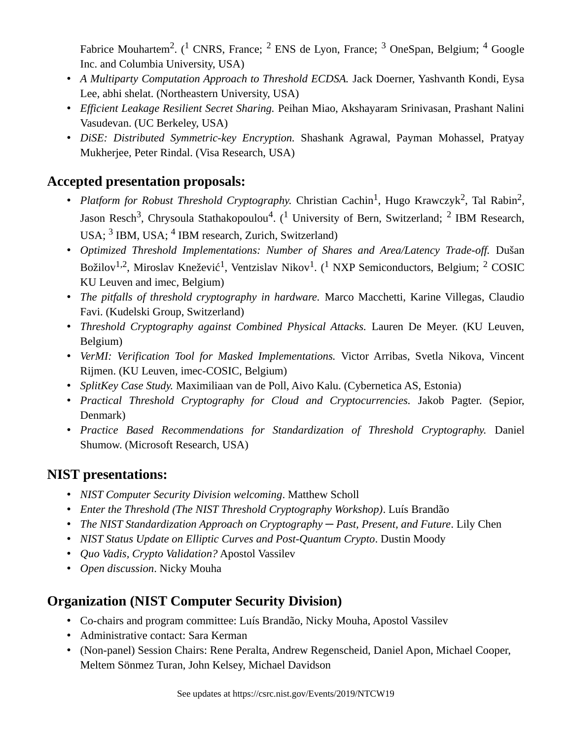Fabrice Mouhartem<sup>2</sup>. (<sup>1</sup> CNRS, France; <sup>2</sup> ENS de Lyon, France; <sup>3</sup> OneSpan, Belgium; <sup>4</sup> Google Inc. and Columbia University, USA)

- *A Multiparty Computation Approach to Threshold ECDSA.* Jack Doerner, Yashvanth Kondi, Eysa Lee, abhi shelat. (Northeastern University, USA)
- *Efficient Leakage Resilient Secret Sharing.* Peihan Miao, Akshayaram Srinivasan, Prashant Nalini Vasudevan. (UC Berkeley, USA)
- *DiSE: Distributed Symmetric-key Encryption.* Shashank Agrawal, Payman Mohassel, Pratyay Mukherjee, Peter Rindal. (Visa Research, USA)

### **Accepted presentation proposals:**

- Platform for Robust Threshold Cryptography. Christian Cachin<sup>1</sup>, Hugo Krawczyk<sup>2</sup>, Tal Rabin<sup>2</sup>, Jason Resch<sup>3</sup>, Chrysoula Stathakopoulou<sup>4</sup>. (<sup>1</sup> University of Bern, Switzerland; <sup>2</sup> IBM Research, USA; <sup>3</sup> IBM, USA; <sup>4</sup> IBM research, Zurich, Switzerland)
- *Optimized Threshold Implementations: Number of Shares and Area/Latency Trade-off.* Dušan Božilov<sup>1,2</sup>, Miroslav Knežević<sup>1</sup>, Ventzislav Nikov<sup>1</sup>. (<sup>1</sup> NXP Semiconductors, Belgium; <sup>2</sup> COSIC KU Leuven and imec, Belgium)
- *The pitfalls of threshold cryptography in hardware.* Marco Macchetti, Karine Villegas, Claudio Favi. (Kudelski Group, Switzerland)
- *Threshold Cryptography against Combined Physical Attacks.* Lauren De Meyer. (KU Leuven, Belgium)
- *VerMI: Verification Tool for Masked Implementations.* Victor Arribas, Svetla Nikova, Vincent Rijmen. (KU Leuven, imec-COSIC, Belgium)
- *SplitKey Case Study.* Maximiliaan van de Poll, Aivo Kalu. (Cybernetica AS, Estonia)
- *Practical Threshold Cryptography for Cloud and Cryptocurrencies.* Jakob Pagter. (Sepior, Denmark)
- *Practice Based Recommendations for Standardization of Threshold Cryptography.* Daniel Shumow. (Microsoft Research, USA)

## **NIST presentations:**

- *NIST Computer Security Division welcoming*. Matthew Scholl
- *Enter the Threshold (The NIST Threshold Cryptography Workshop)*. Luís Brandão
- *The NIST Standardization Approach on Cryptography Past, Present, and Future, Lily Chen*
- *NIST Status Update on Elliptic Curves and Post-Quantum Crypto*. Dustin Moody
- *Quo Vadis, Crypto Validation?* Apostol Vassilev
- *Open discussion*. Nicky Mouha

## **Organization (NIST Computer Security Division)**

- Co-chairs and program committee: Luís Brandão, Nicky Mouha, Apostol Vassilev
- Administrative contact: Sara Kerman
- (Non-panel) Session Chairs: Rene Peralta, Andrew Regenscheid, Daniel Apon, Michael Cooper, Meltem Sönmez Turan, John Kelsey, Michael Davidson